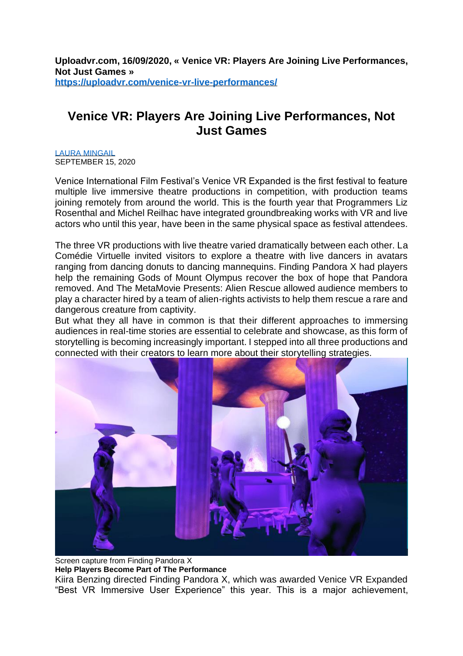**Uploadvr.com, 16/09/2020, « Venice VR: Players Are Joining Live Performances, Not Just Games » <https://uploadvr.com/venice-vr-live-performances/>**

## **Venice VR: Players Are Joining Live Performances, Not Just Games**

[LAURA MINGAIL](https://uploadvr.com/writer/lauramingail/) SEPTEMBER 15, 2020

Venice International Film Festival's Venice VR Expanded is the first festival to feature multiple live immersive theatre productions in competition, with production teams joining remotely from around the world. This is the fourth year that Programmers Liz Rosenthal and Michel Reilhac have integrated groundbreaking works with VR and live actors who until this year, have been in the same physical space as festival attendees.

The three VR productions with live theatre varied dramatically between each other. La Comédie Virtuelle invited visitors to explore a theatre with live dancers in avatars ranging from dancing donuts to dancing mannequins. Finding Pandora X had players help the remaining Gods of Mount Olympus recover the box of hope that Pandora removed. And The MetaMovie Presents: Alien Rescue allowed audience members to play a character hired by a team of alien-rights activists to help them rescue a rare and dangerous creature from captivity.

But what they all have in common is that their different approaches to immersing audiences in real-time stories are essential to celebrate and showcase, as this form of storytelling is becoming increasingly important. I stepped into all three productions and connected with their creators to learn more about their storytelling strategies.



Screen capture from Finding Pandora X **Help Players Become Part of The Performance** Kiira Benzing directed Finding Pandora X, which was awarded Venice VR Expanded "Best VR Immersive User Experience" this year. This is a major achievement,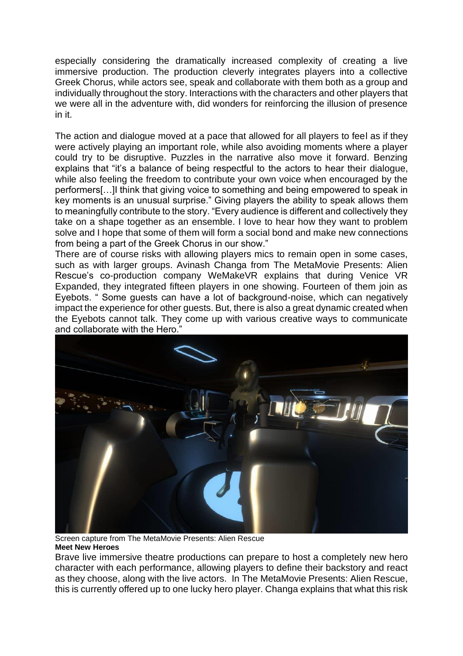especially considering the dramatically increased complexity of creating a live immersive production. The production cleverly integrates players into a collective Greek Chorus, while actors see, speak and collaborate with them both as a group and individually throughout the story. Interactions with the characters and other players that we were all in the adventure with, did wonders for reinforcing the illusion of presence in it.

The action and dialogue moved at a pace that allowed for all players to feel as if they were actively playing an important role, while also avoiding moments where a player could try to be disruptive. Puzzles in the narrative also move it forward. Benzing explains that "it's a balance of being respectful to the actors to hear their dialogue, while also feeling the freedom to contribute your own voice when encouraged by the performers[…]I think that giving voice to something and being empowered to speak in key moments is an unusual surprise." Giving players the ability to speak allows them to meaningfully contribute to the story. "Every audience is different and collectively they take on a shape together as an ensemble. I love to hear how they want to problem solve and I hope that some of them will form a social bond and make new connections from being a part of the Greek Chorus in our show."

There are of course risks with allowing players mics to remain open in some cases, such as with larger groups. Avinash Changa from The MetaMovie Presents: Alien Rescue's co-production company WeMakeVR explains that during Venice VR Expanded, they integrated fifteen players in one showing. Fourteen of them join as Eyebots. " Some guests can have a lot of background-noise, which can negatively impact the experience for other guests. But, there is also a great dynamic created when the Eyebots cannot talk. They come up with various creative ways to communicate and collaborate with the Hero."



Screen capture from The MetaMovie Presents: Alien Rescue **Meet New Heroes**

Brave live immersive theatre productions can prepare to host a completely new hero character with each performance, allowing players to define their backstory and react as they choose, along with the live actors. In The MetaMovie Presents: Alien Rescue, this is currently offered up to one lucky hero player. Changa explains that what this risk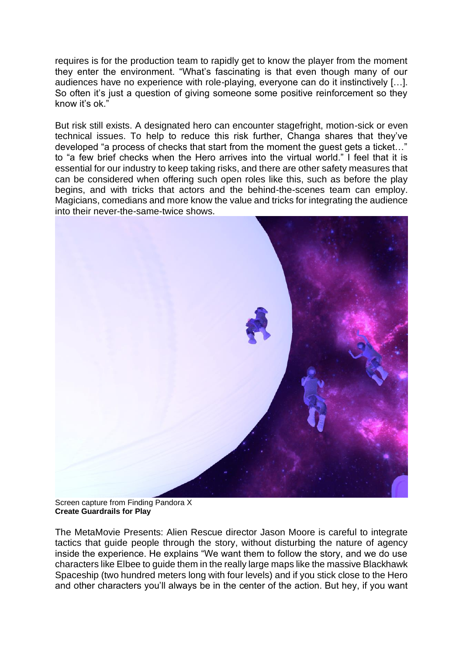requires is for the production team to rapidly get to know the player from the moment they enter the environment. "What's fascinating is that even though many of our audiences have no experience with role-playing, everyone can do it instinctively […]. So often it's just a question of giving someone some positive reinforcement so they know it's ok."

But risk still exists. A designated hero can encounter stagefright, motion-sick or even technical issues. To help to reduce this risk further, Changa shares that they've developed "a process of checks that start from the moment the guest gets a ticket…" to "a few brief checks when the Hero arrives into the virtual world." I feel that it is essential for our industry to keep taking risks, and there are other safety measures that can be considered when offering such open roles like this, such as before the play begins, and with tricks that actors and the behind-the-scenes team can employ. Magicians, comedians and more know the value and tricks for integrating the audience into their never-the-same-twice shows.



Screen capture from Finding Pandora X **Create Guardrails for Play**

The MetaMovie Presents: Alien Rescue director Jason Moore is careful to integrate tactics that guide people through the story, without disturbing the nature of agency inside the experience. He explains "We want them to follow the story, and we do use characters like Elbee to guide them in the really large maps like the massive Blackhawk Spaceship (two hundred meters long with four levels) and if you stick close to the Hero and other characters you'll always be in the center of the action. But hey, if you want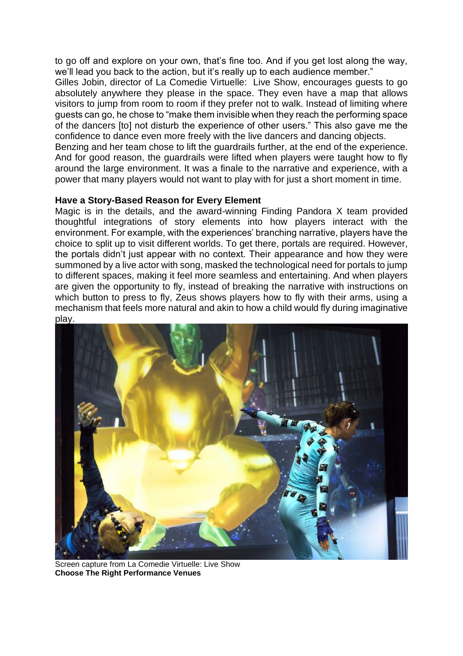to go off and explore on your own, that's fine too. And if you get lost along the way, we'll lead you back to the action, but it's really up to each audience member."

Gilles Jobin, director of La Comedie Virtuelle: Live Show, encourages guests to go absolutely anywhere they please in the space. They even have a map that allows visitors to jump from room to room if they prefer not to walk. Instead of limiting where guests can go, he chose to "make them invisible when they reach the performing space of the dancers [to] not disturb the experience of other users." This also gave me the confidence to dance even more freely with the live dancers and dancing objects.

Benzing and her team chose to lift the guardrails further, at the end of the experience. And for good reason, the guardrails were lifted when players were taught how to fly around the large environment. It was a finale to the narrative and experience, with a power that many players would not want to play with for just a short moment in time.

## **Have a Story-Based Reason for Every Element**

Magic is in the details, and the award-winning Finding Pandora X team provided thoughtful integrations of story elements into how players interact with the environment. For example, with the experiences' branching narrative, players have the choice to split up to visit different worlds. To get there, portals are required. However, the portals didn't just appear with no context. Their appearance and how they were summoned by a live actor with song, masked the technological need for portals to jump to different spaces, making it feel more seamless and entertaining. And when players are given the opportunity to fly, instead of breaking the narrative with instructions on which button to press to fly, Zeus shows players how to fly with their arms, using a mechanism that feels more natural and akin to how a child would fly during imaginative play.



Screen capture from La Comedie Virtuelle: Live Show **Choose The Right Performance Venues**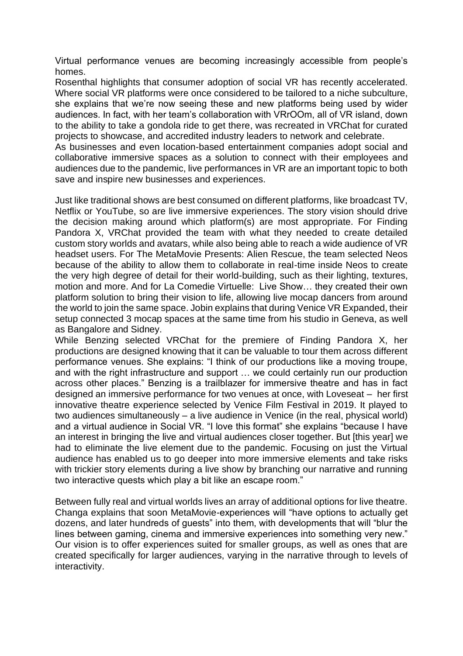Virtual performance venues are becoming increasingly accessible from people's homes.

Rosenthal highlights that consumer adoption of social VR has recently accelerated. Where social VR platforms were once considered to be tailored to a niche subculture, she explains that we're now seeing these and new platforms being used by wider audiences. In fact, with her team's collaboration with VRrOOm, all of VR island, down to the ability to take a gondola ride to get there, was recreated in VRChat for curated projects to showcase, and accredited industry leaders to network and celebrate.

As businesses and even location-based entertainment companies adopt social and collaborative immersive spaces as a solution to connect with their employees and audiences due to the pandemic, live performances in VR are an important topic to both save and inspire new businesses and experiences.

Just like traditional shows are best consumed on different platforms, like broadcast TV, Netflix or YouTube, so are live immersive experiences. The story vision should drive the decision making around which platform(s) are most appropriate. For Finding Pandora X, VRChat provided the team with what they needed to create detailed custom story worlds and avatars, while also being able to reach a wide audience of VR headset users. For The MetaMovie Presents: Alien Rescue, the team selected Neos because of the ability to allow them to collaborate in real-time inside Neos to create the very high degree of detail for their world-building, such as their lighting, textures, motion and more. And for La Comedie Virtuelle: Live Show… they created their own platform solution to bring their vision to life, allowing live mocap dancers from around the world to join the same space. Jobin explains that during Venice VR Expanded, their setup connected 3 mocap spaces at the same time from his studio in Geneva, as well as Bangalore and Sidney.

While Benzing selected VRChat for the premiere of Finding Pandora X, her productions are designed knowing that it can be valuable to tour them across different performance venues. She explains: "I think of our productions like a moving troupe, and with the right infrastructure and support … we could certainly run our production across other places." Benzing is a trailblazer for immersive theatre and has in fact designed an immersive performance for two venues at once, with Loveseat – her first innovative theatre experience selected by Venice Film Festival in 2019. It played to two audiences simultaneously – a live audience in Venice (in the real, physical world) and a virtual audience in Social VR. "I love this format" she explains "because I have an interest in bringing the live and virtual audiences closer together. But [this year] we had to eliminate the live element due to the pandemic. Focusing on just the Virtual audience has enabled us to go deeper into more immersive elements and take risks with trickier story elements during a live show by branching our narrative and running two interactive quests which play a bit like an escape room."

Between fully real and virtual worlds lives an array of additional options for live theatre. Changa explains that soon MetaMovie-experiences will "have options to actually get dozens, and later hundreds of guests" into them, with developments that will "blur the lines between gaming, cinema and immersive experiences into something very new." Our vision is to offer experiences suited for smaller groups, as well as ones that are created specifically for larger audiences, varying in the narrative through to levels of interactivity.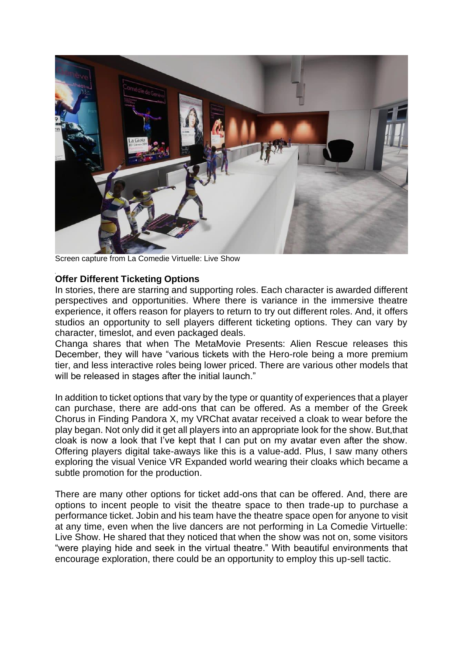

Screen capture from La Comedie Virtuelle: Live Show

## **Offer Different Ticketing Options**

In stories, there are starring and supporting roles. Each character is awarded different perspectives and opportunities. Where there is variance in the immersive theatre experience, it offers reason for players to return to try out different roles. And, it offers studios an opportunity to sell players different ticketing options. They can vary by character, timeslot, and even packaged deals.

Changa shares that when The MetaMovie Presents: Alien Rescue releases this December, they will have "various tickets with the Hero-role being a more premium tier, and less interactive roles being lower priced. There are various other models that will be released in stages after the initial launch."

In addition to ticket options that vary by the type or quantity of experiences that a player can purchase, there are add-ons that can be offered. As a member of the Greek Chorus in Finding Pandora X, my VRChat avatar received a cloak to wear before the play began. Not only did it get all players into an appropriate look for the show. But,that cloak is now a look that I've kept that I can put on my avatar even after the show. Offering players digital take-aways like this is a value-add. Plus, I saw many others exploring the visual Venice VR Expanded world wearing their cloaks which became a subtle promotion for the production.

There are many other options for ticket add-ons that can be offered. And, there are options to incent people to visit the theatre space to then trade-up to purchase a performance ticket. Jobin and his team have the theatre space open for anyone to visit at any time, even when the live dancers are not performing in La Comedie Virtuelle: Live Show. He shared that they noticed that when the show was not on, some visitors "were playing hide and seek in the virtual theatre." With beautiful environments that encourage exploration, there could be an opportunity to employ this up-sell tactic.